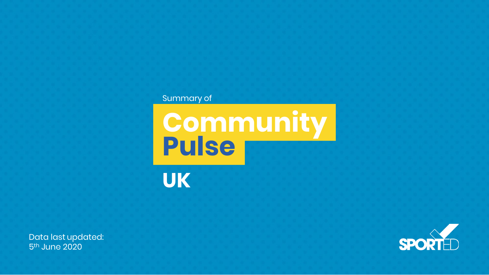#### Summary of

**Community Pulse**

**UK**

Data last updated: 5<sup>th</sup> June 2020

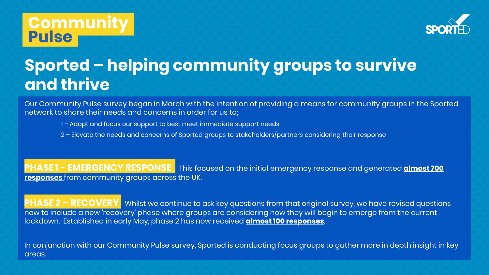

# **Sported – helping community groups to survive and thrive**

Our Community Pulse survey began in March with the intention of providing a means for community groups in the Sported network to share their needs and concerns in order for us to;

- 1 Adapt and focus our support to best meet immediate support needs
- 2 Elevate the needs and concerns of Sported groups to stakeholders/partners considering their response

**PHASE 1 - EMERGENCY RESPONSE** This focused on the initial emergency response and generated **almost 700 responses** from community groups across the UK.

**PHASE 2 – RECOVERY** Whilst we continue to ask key questions from that original survey, we have revised questions now to include a new 'recovery' phase where groups are considering how they will begin to emerge from the current lockdown. Established in early May, phase 2 has now received **almost 100 responses**.

In conjunction with our Community Pulse survey, Sported is conducting focus groups to gather more in depth insight in key areas.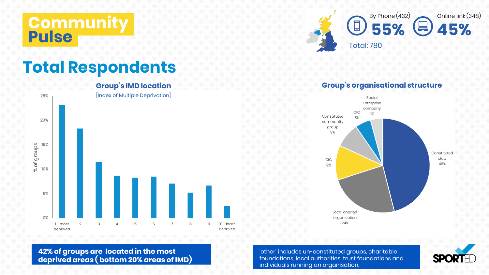



## **Total Respondents**



#### **Group's organisational structure**



**42% of groups are located in the most deprived areas ( bottom 20% areas of IMD)**

'other' includes un-constituted groups, charitable foundations, local authorities, trust foundations and individuals running an organisation.

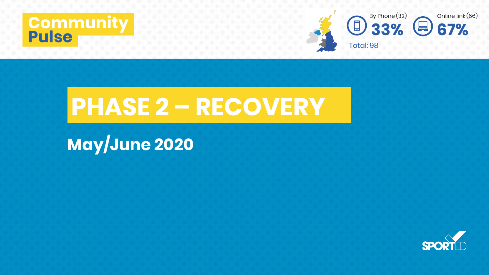



# **PHASE 2 – RECOVERY**

# **May/June 2020**

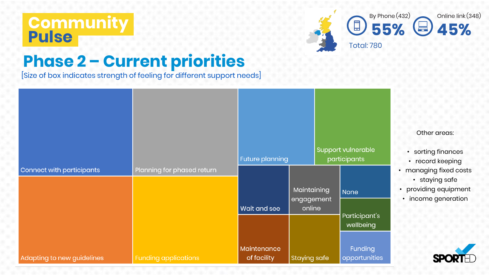

# **Phase 2 – Current priorities**

[Size of box indicates strength of feeling for different support needs]

|                            |                             |                            | <b>Future planning</b>              |  | Support vulnerable<br>participants |  |
|----------------------------|-----------------------------|----------------------------|-------------------------------------|--|------------------------------------|--|
| Connect with participants  | Planning for phased return  |                            |                                     |  |                                    |  |
|                            |                             |                            | Maintaining<br>engagement<br>online |  | None                               |  |
|                            |                             | <b>Wait and see</b>        |                                     |  |                                    |  |
|                            |                             |                            |                                     |  | Participant's<br>wellbeing         |  |
| Adapting to new guidelines | <b>Funding applications</b> | Maintenance<br>of facility | <b>Staying safe</b>                 |  | Funding<br>opportunities           |  |

#### Other areas:

- sorting finances
- record keeping
- anaging fixed costs
	- staying safe
- roviding equipment
- income generation

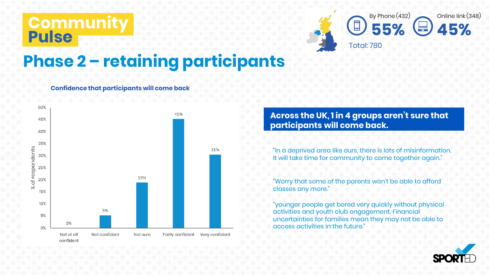

# **Phase 2 – retaining participants**

#### **Confidence that participants will come back**



**Across the UK, 1 in 4 groups aren't sure that participants will come back.**

"In a deprived area like ours, there is lots of misinformation. It will take time for community to come together again."

"Worry that some of the parents won't be able to afford classes any more."

"younger people get bored very quickly without physical activities and youth club engagement. Financial uncertainties for families mean they may not be able to access activities in the future."

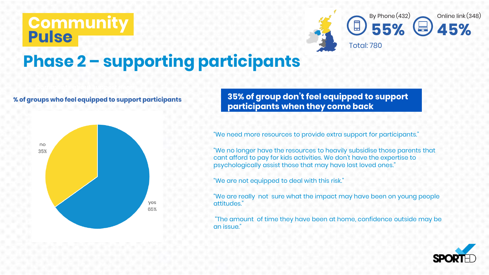

# **Phase 2 – supporting participants**

#### **% of groups who feel equipped to support participants**



[size of box indicates strength of feeling] **35% of group don't feel equipped to support participants when they come back**

"We need more resources to provide extra support for participants."

"We no longer have the resources to heavily subsidise those parents that cant afford to pay for kids activities. We don't have the expertise to psychologically assist those that may have lost loved ones.'

"We are not equipped to deal with this risk."

"We are really not sure what the impact may have been on young people attitudes."

"The amount of time they have been at home, confidence outside may be an issue."

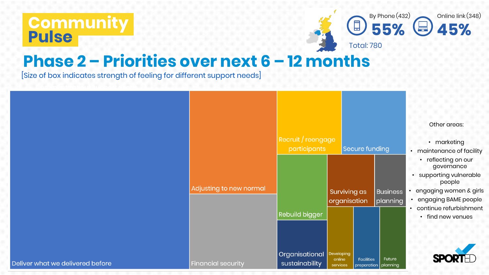

### **Phase 2 – Priorities over next 6 – 12 months**

[Size of box indicates strength of feeling for different support needs]

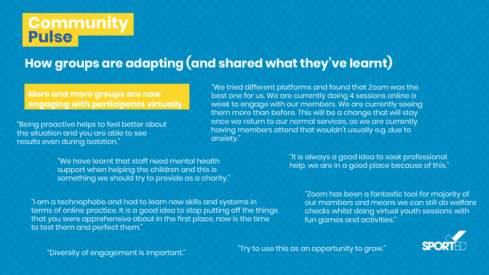### **How groups are adapting (and shared what they've learnt)**

**More and more groups are now engaging with participants virtually**

"Being proactive helps to feel better about the situation and you are able to see results even during isolation."

"We tried different platforms and found that Zoom was the best one for us. We are currently doing 4 sessions online a week to engage with our members. We are currently seeing them more than before. This will be a change that will stay once we return to our normal services, as we are currently having members attend that wouldn't usually e.g. due to anxiety."

"We have learnt that staff need mental health support when helping the children and this is something we should try to provide as a charity."

"I am a technophobe and had to learn new skills and systems in terms of online practice. It is a good idea to stop putting off the things that you were apprehensive about in the first place, now is the time to test them and perfect them."

"It is always a good idea to seek professional help, we are in a good place because of this."

> "Zoom has been a fantastic tool for majority of our members and means we can still do welfare checks whilst doing virtual youth sessions with fun games and activities."



"Diversity of engagement is important."

"Try to use this as an opportunity to grow."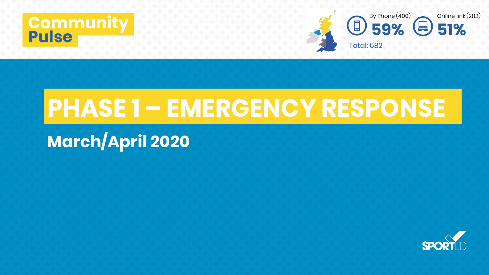



# **PHASE 1 – EMERGENCY RESPONSE**

# **March/April 2020**

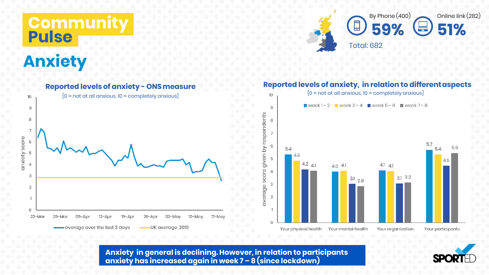### **Commun Pulse**

# **Anxiety**



#### **Reported levels of anxiety - ONSmeasure**  $[0 = not at all anxious, 10 = completely anxious]$  $[0 = not at all anxious, 10 = completely anxious]$ 10 10 Week1-2 Week3-4 Week5-6 Week7-8 9  $\mathfrak{g}$ respondents 8 8  $\overline{7}$ anxiety score 6 6  $\gtrsim$ 5.4 given 5 4.5 4.2  $4.1$ 4.1  $4.1$  $\overline{4}$  $4.0$  4.1 score  $\Delta$ 3  $3.1$  $3.1$ 2.9 3 average  $\overline{2}$  $\overline{2}$  $\overline{1}$  $\circ$  $22$ -Mar 29-Mar 05-Apr  $12 -$ Apr  $19 -$ Api  $26 -$ Apr 03-May  $10-May$  $17-Ma$  $\bullet$  average over the last 3 days -UK average, 2019 Your physical health Your mental health Your organisation Your participants

**Anxiety in general is declining. However, in relation to participants anxiety has increased again in week 7 – 8 (since lockdown)**

#### **Reported levels of anxiety, in relation to differentaspects**

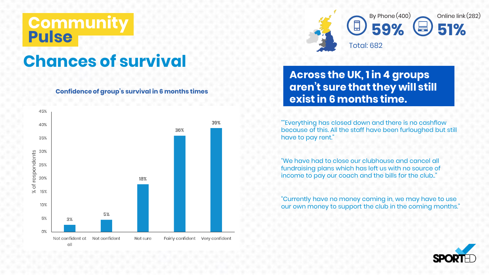# **Chances of survival**

**Confidence of group's survival in 6 months times**





#### **Across the UK, 1 in 4 groups aren't sure that they will still exist in 6 months time.**

""Everything has closed down and there is no cashflow because of this. All the staff have been furloughed but still have to pay rent."

"We have had to close our clubhouse and cancel all fundraising plans which has left us with no source of income to pay our coach and the bills for the club.."

"Currently have no money coming in, we may have to use our own money to support the club in the coming months."

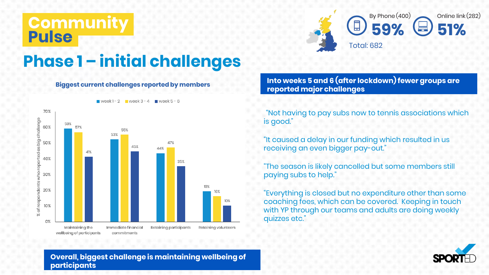

# **Phase 1 – initial challenges**

#### **Biggest current challenges reported by members**



**Into weeks 5 and 6 (after lockdown) fewer groups are reported major challenges**

""Not having to pay subs now to tennis associations which is good."

"It caused a delay in our funding which resulted in us receiving an even bigger pay-out."

"The season is likely cancelled but some members still paying subs to help."

"Everything is closed but no expenditure other than some coaching fees, which can be covered. Keeping in touch with YP through our teams and adults are doing weekly quizzes etc."



**Overall, biggest challenge is maintaining wellbeing of participants**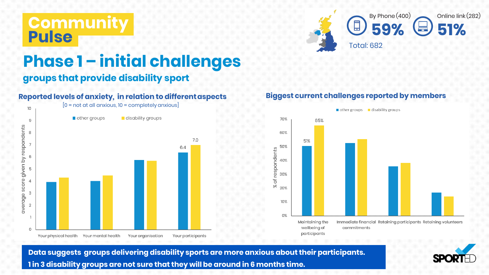

### **Phase 1 – initial challenges**

#### **groups that provide disability sport**

#### **Reported levels of anxiety, in relation to differentaspects**



#### **Biggest current challenges reported by members**



 $\blacksquare$  other groups  $\blacksquare$  disability groups

**Data suggests groups delivering disability sports are more anxious about their participants. 1 in 3 disability groups are not sure that they will be around in 6 months time.**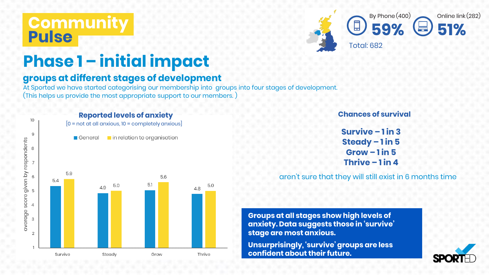

# **Phase 1 – initial impact**

#### **groups at different stages of development**

At Sported we have started categorising our membership into groups into four stages of development (This helps us provide the most appropriate support to our members. )



#### **Chances of survival**

**Survive – 1 in 3 Steady – 1 in 5 Grow – 1 in 5 Thrive – 1 in 4**

aren't sure that they will still exist in 6 months time

**Groups at all stages show high levels of anxiety. Data suggests those in 'survive' stage are most anxious.** 

**Unsurprisingly, 'survive' groups are less confident about their future.**

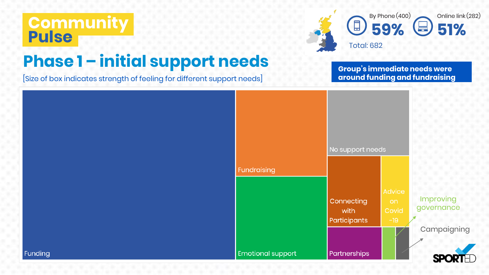

### **Phase 1 – initial support needs**

[Size of box indicates strength of feeling for different support needs]

**Group's immediate needs were around funding and fundraising**

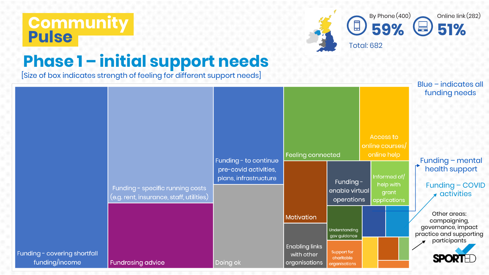

# **Phase 1 – initial support needs**

[Size of box indicates strength of feeling for different support needs]